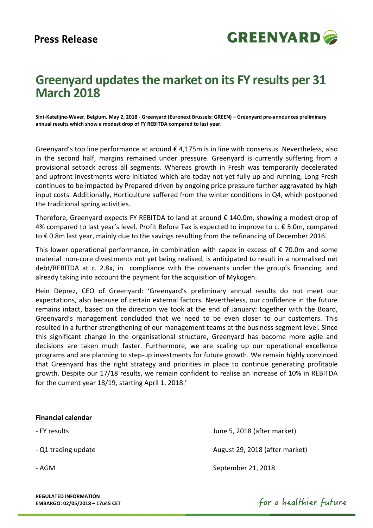

# **Greenyard updates the market on its FY results per 31 March 2018**

**Sint-Katelijne-Waver**, **Belgium**, **May 2, 2018 - Greenyard (Euronext Brussels: GREEN) – Greenyard pre-announces preliminary annual results which show a modest drop of FY REBITDA compared to last year.** 

Greenyard's top line performance at around  $\epsilon$  4,175m is in line with consensus. Nevertheless, also in the second half, margins remained under pressure. Greenyard is currently suffering from a provisional setback across all segments. Whereas growth in Fresh was temporarily decelerated and upfront investments were initiated which are today not yet fully up and running, Long Fresh continues to be impacted by Prepared driven by ongoing price pressure further aggravated by high input costs. Additionally, Horticulture suffered from the winter conditions in Q4, which postponed the traditional spring activities.

Therefore, Greenyard expects FY REBITDA to land at around  $\epsilon$  140.0m, showing a modest drop of 4% compared to last year's level. Profit Before Tax is expected to improve to c. € 5.0m, compared to € 0.8m last year, mainly due to the savings resulting from the refinancing of December 2016.

This lower operational performance, in combination with capex in excess of  $\epsilon$  70.0m and some material non-core divestments not yet being realised, is anticipated to result in a normalised net debt/REBITDA at c. 2.8x, in compliance with the covenants under the group's financing, and already taking into account the payment for the acquisition of Mykogen.

Hein Deprez, CEO of Greenyard: 'Greenyard's preliminary annual results do not meet our expectations, also because of certain external factors. Nevertheless, our confidence in the future remains intact, based on the direction we took at the end of January: together with the Board, Greenyard's management concluded that we need to be even closer to our customers. This resulted in a further strengthening of our management teams at the business segment level. Since this significant change in the organisational structure, Greenyard has become more agile and decisions are taken much faster. Furthermore, we are scaling up our operational excellence programs and are planning to step-up investments for future growth. We remain highly convinced that Greenyard has the right strategy and priorities in place to continue generating profitable growth. Despite our 17/18 results, we remain confident to realise an increase of 10% in REBITDA for the current year 18/19, starting April 1, 2018.'

## **Financial calendar**

- FY results June 5, 2018 (after market)

- Q1 trading update August 29, 2018 (after market)

- AGM September 21, 2018

**REGULATED INFORMATION EMBARGO: 02/05/2018 – 17u45 CET** 

for a healthier future